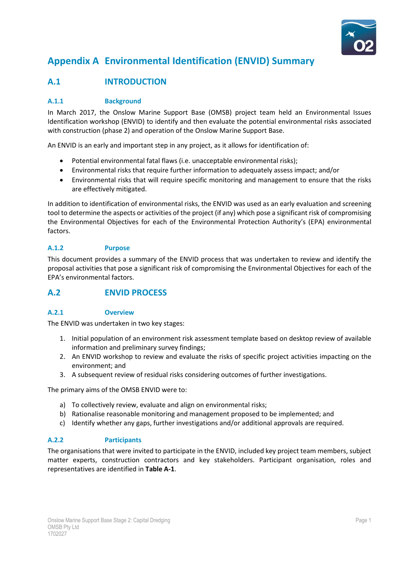

# **Appendix A Environmental Identification (ENVID) Summary**

# **A.1 INTRODUCTION**

### **A.1.1 Background**

In March 2017, the Onslow Marine Support Base (OMSB) project team held an Environmental Issues Identification workshop (ENVID) to identify and then evaluate the potential environmental risks associated with construction (phase 2) and operation of the Onslow Marine Support Base.

An ENVID is an early and important step in any project, as it allows for identification of:

- Potential environmental fatal flaws (i.e. unacceptable environmental risks);
- Environmental risks that require further information to adequately assess impact; and/or
- Environmental risks that will require specific monitoring and management to ensure that the risks are effectively mitigated.

In addition to identification of environmental risks, the ENVID was used as an early evaluation and screening tool to determine the aspects or activities of the project (if any) which pose a significant risk of compromising the Environmental Objectives for each of the Environmental Protection Authority's (EPA) environmental factors.

### **A.1.2 Purpose**

This document provides a summary of the ENVID process that was undertaken to review and identify the proposal activities that pose a significant risk of compromising the Environmental Objectives for each of the EPA's environmental factors.

## **A.2 ENVID PROCESS**

### **A.2.1 Overview**

The ENVID was undertaken in two key stages:

- 1. Initial population of an environment risk assessment template based on desktop review of available information and preliminary survey findings;
- 2. An ENVID workshop to review and evaluate the risks of specific project activities impacting on the environment; and
- 3. A subsequent review of residual risks considering outcomes of further investigations.

The primary aims of the OMSB ENVID were to:

- a) To collectively review, evaluate and align on environmental risks;
- b) Rationalise reasonable monitoring and management proposed to be implemented; and
- c) Identify whether any gaps, further investigations and/or additional approvals are required.

#### **A.2.2 Participants**

The organisations that were invited to participate in the ENVID, included key project team members, subject matter experts, construction contractors and key stakeholders. Participant organisation, roles and representatives are identified in **Table A-1**.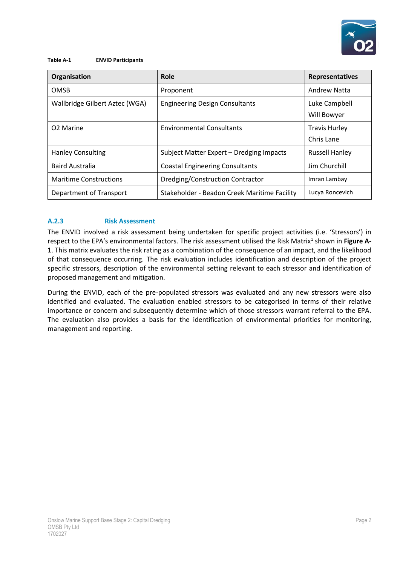

#### **Table A-1 ENVID Participants**

| Organisation                   | Role                                         | Representatives                    |
|--------------------------------|----------------------------------------------|------------------------------------|
| <b>OMSB</b>                    | Proponent                                    | <b>Andrew Natta</b>                |
| Wallbridge Gilbert Aztec (WGA) | <b>Engineering Design Consultants</b>        | Luke Campbell<br>Will Bowyer       |
| O <sub>2</sub> Marine          | <b>Environmental Consultants</b>             | <b>Travis Hurley</b><br>Chris Lane |
| <b>Hanley Consulting</b>       | Subject Matter Expert - Dredging Impacts     | <b>Russell Hanley</b>              |
| <b>Baird Australia</b>         | <b>Coastal Engineering Consultants</b>       | Jim Churchill                      |
| <b>Maritime Constructions</b>  | Dredging/Construction Contractor             | Imran Lambay                       |
| Department of Transport        | Stakeholder - Beadon Creek Maritime Facility | Lucya Roncevich                    |

### **A.2.3 Risk Assessment**

The ENVID involved a risk assessment being undertaken for specific project activities (i.e. 'Stressors') in respect to the EPA's environmental factors. The risk assessment utilised the Risk Matrix<sup>1</sup> shown in Figure A-**1**. This matrix evaluates the risk rating as a combination of the consequence of an impact, and the likelihood of that consequence occurring. The risk evaluation includes identification and description of the project specific stressors, description of the environmental setting relevant to each stressor and identification of proposed management and mitigation.

During the ENVID, each of the pre-populated stressors was evaluated and any new stressors were also identified and evaluated. The evaluation enabled stressors to be categorised in terms of their relative importance or concern and subsequently determine which of those stressors warrant referral to the EPA. The evaluation also provides a basis for the identification of environmental priorities for monitoring, management and reporting.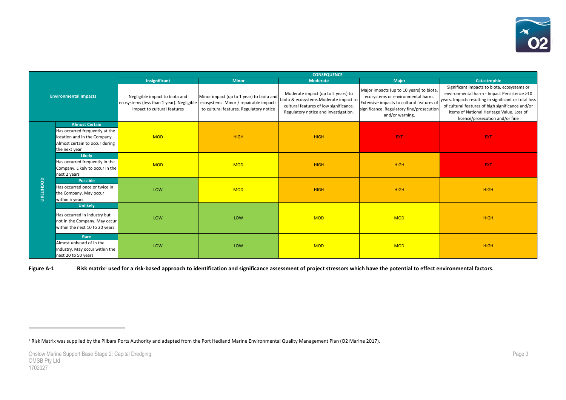

|                   |                                                                  |                                                                                                            |                                                                                                                               | <b>CONSEQUENCE</b>                                                                                                                                             |                                                                                                                                                                                            |                                                                                                                                                                                                                                                                                         |
|-------------------|------------------------------------------------------------------|------------------------------------------------------------------------------------------------------------|-------------------------------------------------------------------------------------------------------------------------------|----------------------------------------------------------------------------------------------------------------------------------------------------------------|--------------------------------------------------------------------------------------------------------------------------------------------------------------------------------------------|-----------------------------------------------------------------------------------------------------------------------------------------------------------------------------------------------------------------------------------------------------------------------------------------|
|                   |                                                                  | Insignificant                                                                                              | <b>Minor</b>                                                                                                                  | <b>Moderate</b>                                                                                                                                                | <b>Major</b>                                                                                                                                                                               | Catastrophic                                                                                                                                                                                                                                                                            |
|                   | <b>Environmental Impacts</b>                                     | Negligible impact to biota and<br>ecosystems (less than 1 year). Negligible<br>impact to cultural features | Minor impact (up to 1 year) to biota and<br>ecosystems. Minor / repairable impacts<br>to cultural features. Regulatory notice | Moderate impact (up to 2 years) to<br>biota & ecosystems. Moderate impact to<br>cultural features of low significance.<br>Regulatory notice and investigation. | Major impacts (up to 10 years) to biota,<br>ecosystems or environmental harm.<br>Extensive impacts to cultural features of<br>significance. Regulatory fine/prosecution<br>and/or warning. | Significant impacts to biota, ecosystems or<br>environmental harm - Impact Persistence >10<br>years. Impacts resulting in significant or total loss<br>of cultural features of high significance and/or<br>items of National Heritage Value. Loss of<br>licence/prosecution and/or fine |
|                   | <b>Almost Certain</b>                                            |                                                                                                            |                                                                                                                               |                                                                                                                                                                |                                                                                                                                                                                            |                                                                                                                                                                                                                                                                                         |
|                   | Has occurred frequently at the                                   |                                                                                                            |                                                                                                                               |                                                                                                                                                                |                                                                                                                                                                                            |                                                                                                                                                                                                                                                                                         |
|                   | location and in the Company.                                     | <b>MOD</b>                                                                                                 | <b>HIGH</b>                                                                                                                   | <b>HIGH</b>                                                                                                                                                    | <b>EXT</b>                                                                                                                                                                                 | <b>EXT</b>                                                                                                                                                                                                                                                                              |
|                   | Almost certain to occur during                                   |                                                                                                            |                                                                                                                               |                                                                                                                                                                |                                                                                                                                                                                            |                                                                                                                                                                                                                                                                                         |
|                   | the next year<br><b>Likely</b>                                   |                                                                                                            |                                                                                                                               |                                                                                                                                                                |                                                                                                                                                                                            |                                                                                                                                                                                                                                                                                         |
|                   | Has occurred frequently in the                                   |                                                                                                            |                                                                                                                               |                                                                                                                                                                |                                                                                                                                                                                            |                                                                                                                                                                                                                                                                                         |
|                   | Company. Likely to occur in the                                  | <b>MOD</b>                                                                                                 | <b>MOD</b>                                                                                                                    | <b>HIGH</b>                                                                                                                                                    | <b>HIGH</b>                                                                                                                                                                                | EXT.                                                                                                                                                                                                                                                                                    |
|                   | next 2 years                                                     |                                                                                                            |                                                                                                                               |                                                                                                                                                                |                                                                                                                                                                                            |                                                                                                                                                                                                                                                                                         |
| <b>LIKELIHOOD</b> | <b>Possible</b>                                                  |                                                                                                            |                                                                                                                               |                                                                                                                                                                |                                                                                                                                                                                            |                                                                                                                                                                                                                                                                                         |
|                   | Has occurred once or twice in                                    | LOW                                                                                                        | <b>MOD</b>                                                                                                                    | <b>HIGH</b>                                                                                                                                                    | <b>HIGH</b>                                                                                                                                                                                | <b>HIGH</b>                                                                                                                                                                                                                                                                             |
|                   | the Company. May occur<br>within 5 years                         |                                                                                                            |                                                                                                                               |                                                                                                                                                                |                                                                                                                                                                                            |                                                                                                                                                                                                                                                                                         |
|                   | <b>Unlikely</b>                                                  |                                                                                                            |                                                                                                                               |                                                                                                                                                                |                                                                                                                                                                                            |                                                                                                                                                                                                                                                                                         |
|                   |                                                                  |                                                                                                            |                                                                                                                               |                                                                                                                                                                |                                                                                                                                                                                            |                                                                                                                                                                                                                                                                                         |
|                   | Has occurred in Industry but                                     | LOW                                                                                                        | LOW                                                                                                                           | <b>MOD</b>                                                                                                                                                     | <b>MOD</b>                                                                                                                                                                                 | <b>HIGH</b>                                                                                                                                                                                                                                                                             |
|                   | not in the Company. May occur<br>within the next 10 to 20 years. |                                                                                                            |                                                                                                                               |                                                                                                                                                                |                                                                                                                                                                                            |                                                                                                                                                                                                                                                                                         |
|                   |                                                                  |                                                                                                            |                                                                                                                               |                                                                                                                                                                |                                                                                                                                                                                            |                                                                                                                                                                                                                                                                                         |
|                   | Rare                                                             |                                                                                                            |                                                                                                                               |                                                                                                                                                                |                                                                                                                                                                                            |                                                                                                                                                                                                                                                                                         |
|                   | Almost unheard of in the                                         | LOW                                                                                                        | LOW                                                                                                                           | <b>MOD</b>                                                                                                                                                     | <b>MOD</b>                                                                                                                                                                                 | <b>HIGH</b>                                                                                                                                                                                                                                                                             |
|                   | Industry. May occur within the<br>next 20 to 50 years            |                                                                                                            |                                                                                                                               |                                                                                                                                                                |                                                                                                                                                                                            |                                                                                                                                                                                                                                                                                         |
|                   |                                                                  |                                                                                                            |                                                                                                                               |                                                                                                                                                                |                                                                                                                                                                                            |                                                                                                                                                                                                                                                                                         |

**Figure A-1 Risk matrix<sup>1</sup> used for a risk-based approach to identification and significance assessment of project stressors which have the potential to effect environmental factors.** 

<sup>1</sup> Risk Matrix was supplied by the Pilbara Ports Authority and adapted from the Port Hedland Marine Environmental Quality Management Plan (O2 Marine 2017).

 $\ddot{\phantom{a}}$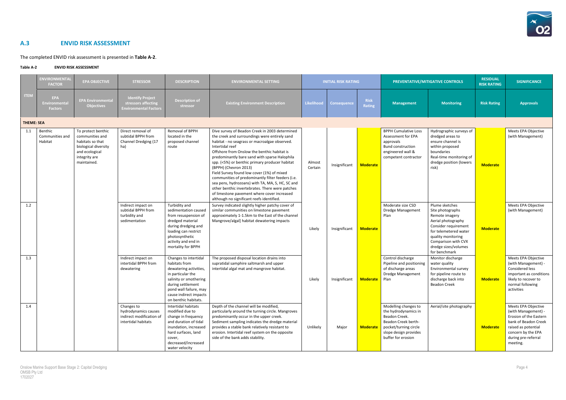

# **A.3 ENVID RISK ASSESSMENT**

The completed ENVID risk assessment is presented in **Table A-2**.

#### **Table A-2 ENVID RISK ASSESSMENT**

|                   | <b>ENVIRONMENTAL</b><br><b>FACTOR</b>         | <b>EPA OBJECTIVE</b>                                                                                                                | <b>STRESSOR</b>                                                                       | <b>DESCRIPTION</b>                                                                                                                                                                                               | <b>ENVIRONMENTAL SETTING</b>                                                                                                                                                                                                                                                                                                                                                                                                                                                                                                                                                                                                                         |                   | <b>INITIAL RISK RATING</b> |                              |                                                                                                                                                              | PREVENTATIVE/MITIGATIVE CONTROLS                                                                                                                                                                                  | <b>RESIDUAL</b><br><b>RISK RATING</b> | <b>SIGNIFICANCE</b>                                                                                                                                                          |
|-------------------|-----------------------------------------------|-------------------------------------------------------------------------------------------------------------------------------------|---------------------------------------------------------------------------------------|------------------------------------------------------------------------------------------------------------------------------------------------------------------------------------------------------------------|------------------------------------------------------------------------------------------------------------------------------------------------------------------------------------------------------------------------------------------------------------------------------------------------------------------------------------------------------------------------------------------------------------------------------------------------------------------------------------------------------------------------------------------------------------------------------------------------------------------------------------------------------|-------------------|----------------------------|------------------------------|--------------------------------------------------------------------------------------------------------------------------------------------------------------|-------------------------------------------------------------------------------------------------------------------------------------------------------------------------------------------------------------------|---------------------------------------|------------------------------------------------------------------------------------------------------------------------------------------------------------------------------|
| <b>ITEM</b>       | <b>EPA</b><br>Environmental<br><b>Factors</b> | <b>EPA Environmental</b><br><b>Objectives</b>                                                                                       | <b>Identify Project</b><br>stressors affecting<br><b>Environmental Factors</b>        | <b>Description of</b><br>stressor                                                                                                                                                                                | <b>Existing Environment Description</b>                                                                                                                                                                                                                                                                                                                                                                                                                                                                                                                                                                                                              | Likelihood        | <b>Consequence</b>         | <b>Risk</b><br><b>Rating</b> | <b>Management</b>                                                                                                                                            | <b>Monitoring</b>                                                                                                                                                                                                 | <b>Risk Rating</b>                    | <b>Approvals</b>                                                                                                                                                             |
| <b>THEME: SEA</b> |                                               |                                                                                                                                     |                                                                                       |                                                                                                                                                                                                                  |                                                                                                                                                                                                                                                                                                                                                                                                                                                                                                                                                                                                                                                      |                   |                            |                              |                                                                                                                                                              |                                                                                                                                                                                                                   |                                       |                                                                                                                                                                              |
| 1.1               | Benthic<br>Communities and<br>Habitat         | To protect benthic<br>communities and<br>habitats so that<br>biological diversity<br>and ecological<br>integrity are<br>maintained. | Direct removal of<br>subtidal BPPH from<br>Channel Dredging (17<br>ha)                | Removal of BPPH<br>located in the<br>proposed channel<br>route                                                                                                                                                   | Dive survey of Beadon Creek in 2003 determined<br>the creek and surroundings were entirely sand<br>habitat - no seagrass or macroalgae observed.<br>Intertidal reef<br>Offshore from Onslow the benthic habitat is<br>predominantly bare sand with sparse Halophila<br>spp. (<5%) or benthic primary producer habitat<br>(BPPH) (Chevron 2013)<br>Field Survey found low cover (1%) of mixed<br>communities of predominantly filter feeders (i.e.<br>sea pens, hydrozoans) with TA, MA, S, HC, SC and<br>other benthic invertebrates. There were patches<br>of limestone pavement where cover increased<br>although no significant reefs identified. | Almost<br>Certain | Insignificant              | <b>Moderate</b>              | <b>BPPH Cumulative Loss</b><br>Assessment for EPA<br>approvals<br><b>Bund construction</b><br>engineered wall &<br>competent contractor                      | Hydrographic surveys of<br>dredged areas to<br>ensure channel is<br>within proposed<br>boundaries<br>Real-time monitoring of<br>dredge position (lowers<br>risk)                                                  | <b>Moderate</b>                       | Meets EPA Objective<br>(with Management)                                                                                                                                     |
| 1.2               |                                               |                                                                                                                                     | Indirect impact on<br>subtidal BPPH from<br>turbidity and<br>sedimentation            | Turbidity and<br>sedimentation caused<br>from resuspension of<br>dredged material<br>during dredging and<br>loading can restrict<br>photosynthetic<br>activity and end in<br>mortality for BPPH                  | Survey indicated slightly higher patchy cover of<br>similar communities on limestone pavement<br>approximately 1-1.5km to the East of the channel<br>Mangrove/algal] habitat dewatering impacts                                                                                                                                                                                                                                                                                                                                                                                                                                                      | Likely            | Insignificant              | <b>Moderate</b>              | Moderate size CSD<br><b>Dredge Management</b><br>Plan                                                                                                        | Plume sketches<br>Site photographs<br>Remote imagery<br>Aerial photography<br>Consider requirement<br>for telemetered water<br>quality monitoring<br>Comparison with CVX<br>dredge sizes/volumes<br>for benchmark | <b>Moderate</b>                       | Meets EPA Objective<br>(with Management)                                                                                                                                     |
| 1.3               |                                               |                                                                                                                                     | Indirect impact on<br>intertidal BPPH from<br>dewatering                              | Changes to intertidal<br>habitats from<br>dewatering activities,<br>in particular the<br>salinity or smothering<br>during settlement<br>pond wall failure, may<br>cause indirect impacts<br>on benthic habitats. | The proposed disposal location drains into<br>supratidal samphire saltmarsh and upper<br>intertidal algal mat and mangrove habitat.                                                                                                                                                                                                                                                                                                                                                                                                                                                                                                                  | Likely            | Insignificant              | <b>Moderate</b>              | Control discharge<br>Pipeline and positioning<br>of discharge areas<br>Dredge Management<br>Plan                                                             | Monitor discharge<br>water quality<br>Environmental survey<br>for pipeline route to<br>discharge back into<br><b>Beadon Creek</b>                                                                                 | <b>Moderate</b>                       | Meets EPA Objective<br>(with Management) -<br><b>Considered less</b><br>important as conditions<br>likely to recover to<br>normal following<br>activities                    |
| 1.4               |                                               |                                                                                                                                     | Changes to<br>hydrodynamics causes<br>indirect modification of<br>intertidal habitats | Intertidal habitats<br>modified due to<br>change in frequency<br>and duration of tidal<br>inundation, increased<br>hard surfaces, land<br>cover,<br>decreased/increased<br>water velocity                        | Depth of the channel will be modified,<br>particularly around the turning circle. Mangroves<br>predominantly occur in the upper creek.<br>Sediment sampling indicates the dredge material<br>provides a stable bank relatively resistant to<br>erosion. Intertidal reef system on the opposite<br>side of the bank adds stability.                                                                                                                                                                                                                                                                                                                   | Unlikely          | Major                      | <b>Moderate</b>              | Modelling changes to<br>the hydrodynamics in<br>Beadon Creek.<br>Beadon Creek berth-<br>pocket/turning circle<br>slope design provides<br>buffer for erosion | Aerial/site photography                                                                                                                                                                                           | <b>Moderate</b>                       | Meets EPA Objective<br>(with Management) -<br>Erosion of the Eastern<br>bank of Beadon Creek<br>raised as potential<br>concern by the EPA<br>during pre-referral<br>meeting. |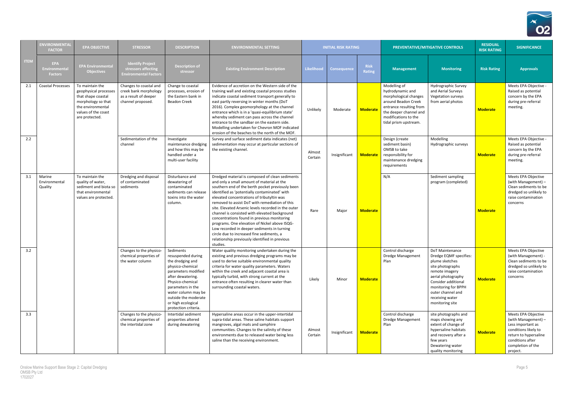

|             | <b>ENVIRONMENTAL</b><br><b>FACTOR</b>         | <b>EPA OBJECTIVE</b>                                                                                                                               | <b>STRESSOR</b>                                                                               | <b>DESCRIPTION</b>                                                                                                                                                                                                                                        | <b>ENVIRONMENTAL SETTING</b>                                                                                                                                                                                                                                                                                                                                                                                                                                                                                                                                                                                                                                         |                   | <b>INITIAL RISK RATING</b> |                       |                                                                                                                                                                                        | PREVENTATIVE/MITIGATIVE CONTROLS                                                                                                                                                                                                 | <b>RESIDUAL</b><br><b>RISK RATING</b> | <b>SIGNIFICANCE</b>                                                                                                                                                   |
|-------------|-----------------------------------------------|----------------------------------------------------------------------------------------------------------------------------------------------------|-----------------------------------------------------------------------------------------------|-----------------------------------------------------------------------------------------------------------------------------------------------------------------------------------------------------------------------------------------------------------|----------------------------------------------------------------------------------------------------------------------------------------------------------------------------------------------------------------------------------------------------------------------------------------------------------------------------------------------------------------------------------------------------------------------------------------------------------------------------------------------------------------------------------------------------------------------------------------------------------------------------------------------------------------------|-------------------|----------------------------|-----------------------|----------------------------------------------------------------------------------------------------------------------------------------------------------------------------------------|----------------------------------------------------------------------------------------------------------------------------------------------------------------------------------------------------------------------------------|---------------------------------------|-----------------------------------------------------------------------------------------------------------------------------------------------------------------------|
| <b>ITEM</b> | <b>EPA</b><br>Environmental<br><b>Factors</b> | <b>EPA Environmental</b><br><b>Objectives</b>                                                                                                      | <b>Identify Project</b><br>stressors affecting<br><b>Environmental Factors</b>                | <b>Description of</b><br>stressor                                                                                                                                                                                                                         | <b>Existing Environment Description</b>                                                                                                                                                                                                                                                                                                                                                                                                                                                                                                                                                                                                                              | <b>Likelihood</b> | <b>Consequence</b>         | <b>Risk</b><br>Rating | <b>Management</b>                                                                                                                                                                      | <b>Monitoring</b>                                                                                                                                                                                                                | <b>Risk Rating</b>                    | <b>Approvals</b>                                                                                                                                                      |
| 2.1         | <b>Coastal Processes</b>                      | To maintain the<br>geophysical processes<br>that shape coastal<br>morphology so that<br>the environmental<br>values of the coast<br>are protected. | Changes to coastal and<br>creek bank morphology<br>as a result of deeper<br>channel proposed. | Change to coastal<br>processes, erosion of<br>the Eastern bank in<br><b>Beadon Creek</b>                                                                                                                                                                  | Evidence of accretion on the Western side of the<br>training wall and existing coastal process studies<br>indicate coastal sediment transport generally to<br>east partly reversing in winter months (DoT<br>2016). Complex geomorphology at the channel<br>entrance which is in a 'quasi-equilibrium state'<br>whereby sediment can pass across the channel<br>entrance to the sandbar on the eastern side.<br>Modelling undertaken for Chevron MOF indicated<br>erosion of the beaches to the north of the MOF.                                                                                                                                                    | Unlikely          | Moderate                   | <b>Moderate</b>       | Modelling of<br>hydrodynamic and<br>morphological changes<br>around Beadon Creek<br>entrance resulting from<br>the deeper channel and<br>modifications to the<br>tidal prism upstream. | Hydrographic Survey<br>and Aerial Surveys<br>Vegetation surveys<br>from aerial photos                                                                                                                                            | <b>Moderate</b>                       | Meets EPA Objective -<br>Raised as potential<br>concern by the EPA<br>during pre-referral<br>meeting.                                                                 |
| 2.2         |                                               |                                                                                                                                                    | Sedimentation of the<br>channel                                                               | Investigate<br>maintenance dredging<br>and how this may be<br>handled under a<br>multi-user facility                                                                                                                                                      | Survey and surface sediment data indicates (net)<br>sedimentation may occur at particular sections of<br>the existing channel.                                                                                                                                                                                                                                                                                                                                                                                                                                                                                                                                       | Almost<br>Certain | Insignificant              | <b>Moderate</b>       | Design (create<br>sediment basin)<br>OMSB to take<br>responsibility for<br>maintenance dredging<br>requirements                                                                        | Modelling<br>Hydrographic surveys                                                                                                                                                                                                | <b>Moderate</b>                       | Meets EPA Objective -<br>Raised as potential<br>concern by the EPA<br>during pre-referral<br>meeting.                                                                 |
| 3.1         | Marine<br>Environmental<br>Quality            | To maintain the<br>quality of water,<br>sediment and biota so<br>that environmental<br>values are protected.                                       | Dredging and disposal<br>of contaminated<br>sediments                                         | Disturbance and<br>dewatering of<br>contaminated<br>sediments can release<br>toxins into the water<br>column.                                                                                                                                             | Dredged material is composed of clean sediments<br>and only a small amount of material at the<br>southern end of the berth pocket previously been<br>identified as 'potentially contaminated' with<br>elevated concentrations of tributyltin was<br>removed to assist DoT with remediation of this<br>site. Elevated Arsenic levels recorded in the outer<br>channel is consisted with elevated background<br>concentrations found in previous monitoring<br>programs. One elevation of Nickel above ISQG-<br>Low recorded in deeper sediments in turning<br>circle due to increased fine sediments, a<br>relationship previously identified in previous<br>studies. | Rare              | Major                      | <b>Moderate</b>       | N/A                                                                                                                                                                                    | Sediment sampling<br>program (completed)                                                                                                                                                                                         | <b>Moderate</b>                       | Meets EPA Objective<br>(with Management) -<br>Clean sediments to be<br>dredged so unlikely to<br>raise contamination<br>concerns                                      |
| 3.2         |                                               |                                                                                                                                                    | Changes to the physico-<br>chemical properties of<br>the water column                         | Sediments<br>resuspended during<br>the dredging and<br>physico-chemical<br>parameters modified<br>after dewatering.<br>Physico-chemical<br>parameters in the<br>water column may be<br>outside the moderate<br>or high ecological<br>protection criteria. | Water quality monitoring undertaken during the<br>existing and previous dredging programs may be<br>used to derive suitable environmental quality<br>criteria for water quality parameters. Waters<br>within the creek and adjacent coastal area is<br>typically turbid, with strong current at the<br>entrance often resulting in clearer water than<br>surrounding coastal waters.                                                                                                                                                                                                                                                                                 | Likely            | Minor                      | <b>Moderate</b>       | Control discharge<br><b>Dredge Management</b><br>Plan                                                                                                                                  | DoT Maintenance<br>Dredge EQMF specifies:<br>plume sketches<br>site photographs<br>remote imagery<br>aerial photography<br>Consider additional<br>monitoring for BPPH<br>outer channel and<br>receiving water<br>monitoring site | <b>Moderate</b>                       | Meets EPA Objective<br>(with Management) -<br>Clean sediments to be<br>dredged so unlikely to<br>raise contamination<br>concerns                                      |
| 3.3         |                                               |                                                                                                                                                    | Changes to the physico-<br>chemical properties of<br>the intertidal zone                      | Intertidal sediment<br>properties altered<br>during dewatering                                                                                                                                                                                            | Hypersaline areas occur in the upper-intertidal<br>supra-tidal areas. These saline habitats support<br>mangroves, algal mats and samphire<br>communities. Changes to the salinity of these<br>environments due to released water being less<br>saline than the receiving environment.                                                                                                                                                                                                                                                                                                                                                                                | Almost<br>Certain | Insignificant              | Moderate              | Control discharge<br><b>Dredge Management</b><br>Plan                                                                                                                                  | site photographs and<br>maps showing any<br>extent of change of<br>hypersaline habitats<br>and recovery after a<br>few years<br>Dewatering water<br>quality monitoring                                                           | <b>Moderate</b>                       | Meets EPA Objective<br>(with Management) -<br>Less important as<br>conditions likely to<br>return to hypersaline<br>conditions after<br>completion of the<br>project. |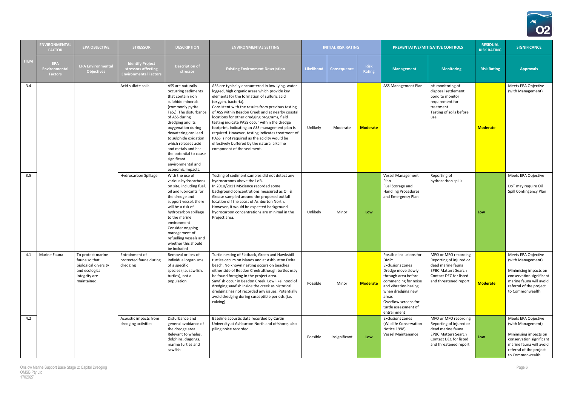

|             | <b>ENVIRONMENTAL</b><br><b>FACTOR</b>         | <b>EPA OBJECTIVE</b>                                                                                         | <b>STRESSOR</b>                                                                | <b>DESCRIPTION</b>                                                                                                                                                                                                                                                                                                                                                                       | <b>ENVIRONMENTAL SETTING</b>                                                                                                                                                                                                                                                                                                                                                                                                                                                                                                                                                                                            |                   | <b>INITIAL RISK RATING</b> |                              |                                                                                                                                                                                                                                               | PREVENTATIVE/MITIGATIVE CONTROLS                                                                                                                      | <b>RESIDUAL</b><br><b>RISK RATING</b> | <b>SIGNIFICANCE</b>                                                                                                                                                    |
|-------------|-----------------------------------------------|--------------------------------------------------------------------------------------------------------------|--------------------------------------------------------------------------------|------------------------------------------------------------------------------------------------------------------------------------------------------------------------------------------------------------------------------------------------------------------------------------------------------------------------------------------------------------------------------------------|-------------------------------------------------------------------------------------------------------------------------------------------------------------------------------------------------------------------------------------------------------------------------------------------------------------------------------------------------------------------------------------------------------------------------------------------------------------------------------------------------------------------------------------------------------------------------------------------------------------------------|-------------------|----------------------------|------------------------------|-----------------------------------------------------------------------------------------------------------------------------------------------------------------------------------------------------------------------------------------------|-------------------------------------------------------------------------------------------------------------------------------------------------------|---------------------------------------|------------------------------------------------------------------------------------------------------------------------------------------------------------------------|
| <b>ITEM</b> | <b>EPA</b><br>Environmental<br><b>Factors</b> | <b>EPA Environmental</b><br><b>Objectives</b>                                                                | <b>Identify Project</b><br>stressors affecting<br><b>Environmental Factors</b> | <b>Description of</b><br>stressor                                                                                                                                                                                                                                                                                                                                                        | <b>Existing Environment Description</b>                                                                                                                                                                                                                                                                                                                                                                                                                                                                                                                                                                                 | <b>Likelihood</b> | <b>Consequence</b>         | <b>Risk</b><br><b>Rating</b> | <b>Management</b>                                                                                                                                                                                                                             | <b>Monitoring</b>                                                                                                                                     | <b>Risk Rating</b>                    | <b>Approvals</b>                                                                                                                                                       |
| 3.4         |                                               |                                                                                                              | Acid sulfate soils                                                             | ASS are naturally<br>occurring sediments<br>that contain iron<br>sulphide minerals<br>(commonly pyrite<br>FeS <sub>2</sub> ). The disturbance<br>of ASS during<br>dredging and its<br>oxygenation during<br>dewatering can lead<br>to sulphide oxidation<br>which releases acid<br>and metals and has<br>the potential to cause<br>significant<br>environmental and<br>economic impacts. | ASS are typically encountered in low-lying, water<br>logged, high organic areas which provide key<br>elements for the formation of sulfuric acid<br>(oxygen, bacteria).<br>Consistent with the results from previous testing<br>of ASS within Beadon Creek and at nearby coastal<br>locations for other dredging programs, field<br>testing indicate PASS occur within the dredge<br>footprint, indicating an ASS management plan is<br>required. However, testing indicates treatment of<br>PASS is not required as the acidity would be<br>effectively buffered by the natural alkaline<br>component of the sediment. | Unlikely          | Moderate                   | <b>Moderate</b>              | ASS Management Plan                                                                                                                                                                                                                           | pH monitoring of<br>disposal settlement<br>pond to monitor<br>requirement for<br>treatment<br>Testing of soils before<br>use.                         | <b>Moderate</b>                       | Meets EPA Objective<br>(with Management)                                                                                                                               |
| 3.5         |                                               |                                                                                                              | <b>Hydrocarbon Spillage</b>                                                    | With the use of<br>various hydrocarbons<br>on site, including fuel,<br>oil and lubricants for<br>the dredge and<br>support vessel, there<br>will be a risk of<br>hydrocarbon spillage<br>to the marine<br>environment<br>Consider ongoing<br>management of<br>refuelling vessels and<br>whether this should<br>be included                                                               | Testing of sediment samples did not detect any<br>hydrocarbons above the LoR.<br>In 2010/2011 MScience recorded some<br>background concentrations measured as Oil &<br>Grease sampled around the proposed outfall<br>location off the coast of Ashburton North.<br>However, it would be expected background<br>hydrocarbon concentrations are minimal in the<br>Project area.                                                                                                                                                                                                                                           | Unlikely          | Minor                      | Low                          | <b>Vessel Management</b><br>Plan<br>Fuel Storage and<br><b>Handling Procedures</b><br>and Emergency Plan                                                                                                                                      | Reporting of<br>hydrocarbon spills                                                                                                                    | Low                                   | Meets EPA Objective<br>DoT may require Oil<br>Spill Contingency Plan                                                                                                   |
| 4.1         | Marine Fauna                                  | To protect marine<br>fauna so that<br>biological diversity<br>and ecological<br>integrity are<br>maintained. | Entrainment of<br>protected fauna during<br>dredging                           | Removal or loss of<br>individual organisms<br>of a specific<br>species (i.e. sawfish,<br>turtles), not a<br>population                                                                                                                                                                                                                                                                   | Turtle nesting of Flatback, Green and Hawksbill<br>turtles occurs on islands and at Ashburton Delta<br>beach. No known nesting occurs on beaches<br>either side of Beadon Creek although turtles may<br>be found foraging in the project area.<br>Sawfish occur in Beadon Creek. Low likelihood of<br>dredging sawfish inside the creek as historical<br>dredging has not recorded any issues. Potentially<br>avoid dredging during susceptible periods (i.e.<br>calving)                                                                                                                                               | Possible          | Minor                      | <b>Moderate</b>              | Possible inclusions for<br>DMP:<br>Exclusions zones<br>Dredge move slowly<br>through area before<br>commencing for noise<br>and vibration hazing<br>when dredging new<br>areas<br>Overflow screens for<br>turtle assessment of<br>entrainment | MFO or MFO recording<br>Reporting of injured or<br>dead marine fauna<br><b>EPBC Matters Search</b><br>Contact DEC for listed<br>and threatened report | <b>Moderate</b>                       | Meets EPA Objective<br>(with Management)<br>Minimising impacts on<br>conservation significant<br>marine fauna will avoid<br>referral of the project<br>to Commonwealth |
| 4.2         |                                               |                                                                                                              | Acoustic impacts from<br>dredging activities                                   | Disturbance and<br>general avoidance of<br>the dredge area.<br>Relevant to whales,<br>dolphins, dugongs,<br>marine turtles and<br>sawfish                                                                                                                                                                                                                                                | Baseline acoustic data recorded by Curtin<br>University at Ashburton North and offshore, also<br>piling noise recorded.                                                                                                                                                                                                                                                                                                                                                                                                                                                                                                 | Possible          | Insignificant              | Low                          | <b>Exclusions zones</b><br>(Wildlife Conservation<br>Notice 1998)<br>Vessel Maintenance                                                                                                                                                       | MFO or MFO recording<br>Reporting of injured or<br>dead marine fauna<br><b>EPBC Matters Search</b><br>Contact DEC for listed<br>and threatened report | Low                                   | Meets EPA Objective<br>(with Management)<br>Minimising impacts on<br>conservation significant<br>marine fauna will avoid<br>referral of the project<br>to Commonwealth |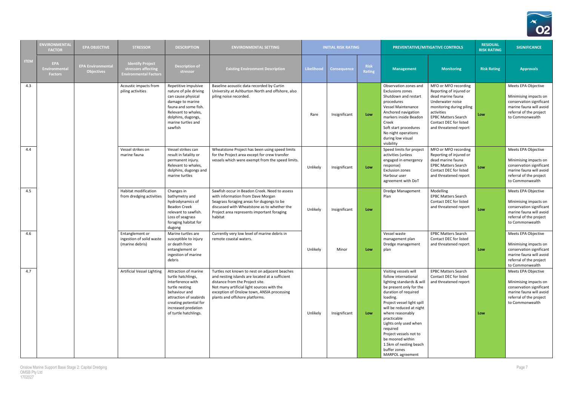

|             | <b>ENVIRONMENTA</b><br><b>FACTOR</b>                 | <b>EPA OBJECTIVE</b>                          | <b>STRESSOR</b>                                                                | <b>DESCRIPTION</b>                                                                                                                                                                                     | <b>ENVIRONMENTAL SETTING</b>                                                                                                                                                                                                                                      |            | <b>INITIAL RISK RATING</b> |                       |                                                                                                                                                                                                                                                                                                                                                                                         | PREVENTATIVE/MITIGATIVE CONTROLS                                                                                                                                                                                    | <b>RESIDUAL</b><br><b>RISK RATING</b> | <b>SIGNIFICANCE</b>                                                                                                                               |
|-------------|------------------------------------------------------|-----------------------------------------------|--------------------------------------------------------------------------------|--------------------------------------------------------------------------------------------------------------------------------------------------------------------------------------------------------|-------------------------------------------------------------------------------------------------------------------------------------------------------------------------------------------------------------------------------------------------------------------|------------|----------------------------|-----------------------|-----------------------------------------------------------------------------------------------------------------------------------------------------------------------------------------------------------------------------------------------------------------------------------------------------------------------------------------------------------------------------------------|---------------------------------------------------------------------------------------------------------------------------------------------------------------------------------------------------------------------|---------------------------------------|---------------------------------------------------------------------------------------------------------------------------------------------------|
| <b>ITEM</b> | <b>EPA</b><br><b>Environmental</b><br><b>Factors</b> | <b>EPA Environmental</b><br><b>Objectives</b> | <b>Identify Project</b><br>stressors affecting<br><b>Environmental Factors</b> | <b>Description of</b><br>stressor                                                                                                                                                                      | <b>Existing Environment Description</b>                                                                                                                                                                                                                           | Likelihood | <b>Consequence</b>         | <b>Risk</b><br>Rating | <b>Management</b>                                                                                                                                                                                                                                                                                                                                                                       | <b>Monitoring</b>                                                                                                                                                                                                   | <b>Risk Rating</b>                    | <b>Approvals</b>                                                                                                                                  |
| 4.3         |                                                      |                                               | Acoustic impacts from<br>piling activities                                     | Repetitive impulsive<br>nature of pile driving<br>can cause physical<br>damage to marine<br>fauna and some fish.<br>Relevant to whales,<br>dolphins, dugongs,<br>marine turtles and<br>sawfish         | Baseline acoustic data recorded by Curtin<br>University at Ashburton North and offshore, also<br>piling noise recorded.                                                                                                                                           | Rare       | Insignificant              | Low                   | Observation zones and<br>Exclusions zones<br>Shutdown and restart<br>procedures<br>Vessel Maintenance<br>Anchored navigation<br>markers inside Beadon<br>Creek<br>Soft start procedures<br>No night operations<br>during low visual<br>visibility                                                                                                                                       | MFO or MFO recording<br>Reporting of injured or<br>dead marine fauna<br>Underwater noise<br>monitoring during piling<br>activities<br><b>EPBC Matters Search</b><br>Contact DEC for listed<br>and threatened report | Low                                   | Meets EPA Objective<br>Minimising impacts on<br>conservation significant<br>marine fauna will avoid<br>referral of the project<br>to Commonwealth |
| 4.4         |                                                      |                                               | Vessel strikes on<br>marine fauna                                              | Vessel strikes can<br>result in fatality or<br>permanent injury.<br>Relevant to whales,<br>dolphins, dugongs and<br>marine turtles                                                                     | Wheatstone Project has been using speed limits<br>for the Project area except for crew transfer<br>vessels which were exempt from the speed limits.                                                                                                               | Unlikely   | Insignificant              | Low                   | Speed limits for project<br>activities (unless<br>engaged in emergency<br>response)<br><b>Exclusion zones</b><br>Harbour user<br>agreement with DoT                                                                                                                                                                                                                                     | MFO or MFO recording<br>Reporting of injured or<br>dead marine fauna<br><b>EPBC Matters Search</b><br>Contact DEC for listed<br>and threatened report                                                               | Low                                   | Meets EPA Objective<br>Minimising impacts on<br>conservation significant<br>marine fauna will avoid<br>referral of the project<br>to Commonwealth |
| 4.5         |                                                      |                                               | Habitat modification<br>from dredging activities                               | Changes in<br>bathymetry and<br>hydrodynamics of<br><b>Beadon Creek</b><br>relevant to sawfish.<br>Loss of seagrass<br>foraging habitat for<br>dugong                                                  | Sawfish occur in Beadon Creek. Need to assess<br>with information from Dave Morgan<br>Seagrass foraging areas for dugongs to be<br>discussed with Wheatstone as to whether the<br>Project area represents important foraging<br>habitat                           | Unlikely   | Insignificant              | Low                   | Dredge Management<br>Plan                                                                                                                                                                                                                                                                                                                                                               | Modelling<br><b>EPBC Matters Search</b><br>Contact DEC for listed<br>and threatened report                                                                                                                          | Low                                   | Meets EPA Objective<br>Minimising impacts on<br>conservation significant<br>marine fauna will avoid<br>referral of the project<br>to Commonwealth |
| 4.6         |                                                      |                                               | Entanglement or<br>ingestion of solid waste<br>(marine debris)                 | Marine turtles are<br>susceptible to injury<br>or death from<br>entanglement or<br>ingestion of marine<br>debris                                                                                       | Currently very low level of marine debris in<br>remote coastal waters.                                                                                                                                                                                            | Unlikely   | Minor                      | Low                   | Vessel waste<br>management plan<br>Dredge management<br>plan                                                                                                                                                                                                                                                                                                                            | <b>EPBC Matters Search</b><br>Contact DEC for listed<br>and threatened report                                                                                                                                       | Low                                   | Meets EPA Objective<br>Minimising impacts on<br>conservation significant<br>marine fauna will avoid<br>referral of the project<br>to Commonwealth |
| 4.7         |                                                      |                                               | <b>Artificial Vessel Lighting</b>                                              | Attraction of marine<br>turtle hatchlings,<br>Interference with<br>turtle nesting<br>behaviour and<br>attraction of seabirds<br>creating potential for<br>increased predation<br>of turtle hatchlings. | Turtles not known to nest on adjacent beaches<br>and nesting islands are located at a sufficient<br>distance from the Project site.<br>Not many artificial light sources with the<br>exception of Onslow town, ANSIA processing<br>plants and offshore platforms. | Unlikely   | Insignificant              | Low                   | Visiting vessels will<br>follow international<br>lighting standards & will<br>be present only for the<br>duration of required<br>loading.<br>Project vessel light spill<br>will be reduced at night<br>where reasonably<br>practicable<br>Lights only used when<br>required<br>Project vessels not to<br>be moored within<br>1.5km of nesting beach<br>buffer zones<br>MARPOL agreement | <b>EPBC Matters Search</b><br>Contact DEC for listed<br>and threatened report                                                                                                                                       | Low                                   | Meets EPA Objective<br>Minimising impacts on<br>conservation significant<br>marine fauna will avoid<br>referral of the project<br>to Commonwealth |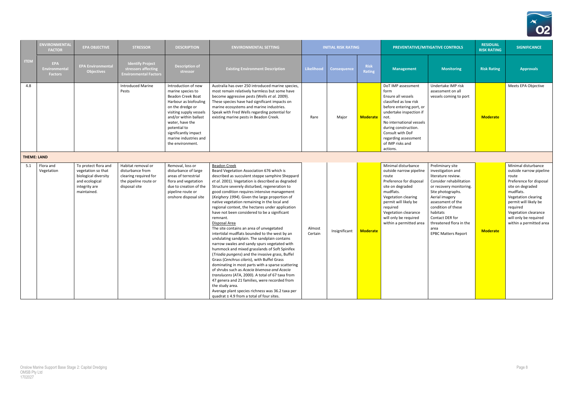

|                    | <b>ENVIRONMENTAL</b><br><b>FACTOR</b>         | <b>EPA OBJECTIVE</b>                                                                                                 | <b>STRESSOR</b>                                                                                           | <b>DESCRIPTION</b>                                                                                                                                                                                                                                                     | <b>ENVIRONMENTAL SETTING</b>                                                                                                                                                                                                                                                                                                                                                                                                                                                                                                                                                                                                                                                                                                                                                                                                                                                                                                                                                                                                                                                                                                                                                                |                   | <b>INITIAL RISK RATING</b> |                              |                                                                                                                                                                                                                                                                           | PREVENTATIVE/MITIGATIVE CONTROLS                                                                                                                                                                                                                                                                    | <b>RESIDUAL</b><br><b>RISK RATING</b> | <b>SIGNIFICANCE</b>                                                                                                                                                                                                                                         |
|--------------------|-----------------------------------------------|----------------------------------------------------------------------------------------------------------------------|-----------------------------------------------------------------------------------------------------------|------------------------------------------------------------------------------------------------------------------------------------------------------------------------------------------------------------------------------------------------------------------------|---------------------------------------------------------------------------------------------------------------------------------------------------------------------------------------------------------------------------------------------------------------------------------------------------------------------------------------------------------------------------------------------------------------------------------------------------------------------------------------------------------------------------------------------------------------------------------------------------------------------------------------------------------------------------------------------------------------------------------------------------------------------------------------------------------------------------------------------------------------------------------------------------------------------------------------------------------------------------------------------------------------------------------------------------------------------------------------------------------------------------------------------------------------------------------------------|-------------------|----------------------------|------------------------------|---------------------------------------------------------------------------------------------------------------------------------------------------------------------------------------------------------------------------------------------------------------------------|-----------------------------------------------------------------------------------------------------------------------------------------------------------------------------------------------------------------------------------------------------------------------------------------------------|---------------------------------------|-------------------------------------------------------------------------------------------------------------------------------------------------------------------------------------------------------------------------------------------------------------|
| <b>ITEM</b>        | <b>EPA</b><br>Environmental<br><b>Factors</b> | <b>EPA Environmental</b><br><b>Objectives</b>                                                                        | <b>Identify Project</b><br>stressors affecting<br><b>Environmental Factors</b>                            | <b>Description of</b><br>stressor                                                                                                                                                                                                                                      | <b>Existing Environment Description</b>                                                                                                                                                                                                                                                                                                                                                                                                                                                                                                                                                                                                                                                                                                                                                                                                                                                                                                                                                                                                                                                                                                                                                     | <b>Likelihood</b> | <b>Consequence</b>         | <b>Risk</b><br><b>Rating</b> | <b>Management</b>                                                                                                                                                                                                                                                         | <b>Monitoring</b>                                                                                                                                                                                                                                                                                   | <b>Risk Rating</b>                    | <b>Approvals</b>                                                                                                                                                                                                                                            |
| 4.8                |                                               |                                                                                                                      | <b>Introduced Marine</b><br>Pests                                                                         | Introduction of new<br>marine species to<br>Beadon Creek Boat<br>Harbour as biofouling<br>on the dredge or<br>visiting supply vessels<br>and/or within ballast<br>water, have the<br>potential to<br>significantly impact<br>marine industries and<br>the environment. | Australia has over 250 introduced marine species,<br>most remain relatively harmless but some have<br>become aggressive pests (Wells et al. 2009).<br>These species have had significant impacts on<br>marine ecosystems and marine industries.<br>Speak with Fred Wells regarding potential for<br>existing marine pests in Beadon Creek.                                                                                                                                                                                                                                                                                                                                                                                                                                                                                                                                                                                                                                                                                                                                                                                                                                                  | Rare              | Major                      | <b>Moderate</b>              | DoT IMP assessment<br>form<br>Ensure all vessels<br>classified as low risk<br>before entering port, or<br>undertake inspection if<br>not.<br>No international vessels<br>during construction.<br>Consult with DoF<br>regarding assessment<br>of IMP risks and<br>actions. | Undertake IMP risk<br>assessment on all<br>vessels coming to port                                                                                                                                                                                                                                   | <b>Moderate</b>                       | Meets EPA Objective                                                                                                                                                                                                                                         |
| <b>THEME: LAND</b> |                                               |                                                                                                                      |                                                                                                           |                                                                                                                                                                                                                                                                        |                                                                                                                                                                                                                                                                                                                                                                                                                                                                                                                                                                                                                                                                                                                                                                                                                                                                                                                                                                                                                                                                                                                                                                                             |                   |                            |                              |                                                                                                                                                                                                                                                                           |                                                                                                                                                                                                                                                                                                     |                                       |                                                                                                                                                                                                                                                             |
| 5.1                | Flora and<br>Vegetation                       | To protect flora and<br>vegetation so that<br>biological diversity<br>and ecological<br>integrity are<br>maintained. | Habitat removal or<br>disturbance from<br>clearing required for<br>the pipeline route or<br>disposal site | Removal, loss or<br>disturbance of large<br>areas of terrestrial<br>flora and vegetation<br>due to creation of the<br>pipeline route or<br>onshore disposal site                                                                                                       | <b>Beadon Creek</b><br>Beard Vegetation Association 676 which is<br>described as succulent steppe samphire Sheppard<br>et al. 2001). Vegetation is described as degraded<br>Structure severely disturbed, regeneration to<br>good condition requires intensive management<br>(Keighery 1994). Given the large proportion of<br>native vegetation remaining in the local and<br>regional context, the hectares under application<br>have not been considered to be a significant<br>remnant.<br>Disposal Area<br>The site contains an area of unvegetated<br>intertidal mudflats bounded to the west by an<br>undulating sandplain. The sandplain contains<br>narrow swales and sandy spurs vegetated with<br>hummock and mixed grasslands of Soft Spinifex<br>(Triodia pungens) and the invasive grass, Buffel<br>Grass (Cenchrus cilaris), with Buffel Grass<br>dominating in most parts with a sparse scattering<br>of shrubs such as Acacia bivenosa and Acacia<br>translucens (ATA, 2000). A total of 67 taxa from<br>47 genera and 21 families, were recorded from<br>the study area.<br>Average plant species richness was 36.2 taxa per<br>quadrat ± 4.9 from a total of four sites. | Almost<br>Certain | Insignificant              | <b>Moderate</b>              | Minimal disturbance<br>outside narrow pipeline<br>route<br>Preference for disposal<br>site on degraded<br>mudflats.<br>Vegetation clearing<br>permit will likely be<br>required<br>Vegetation clearance<br>will only be required<br>within a permitted area               | Preliminary site<br>investigation and<br>literature review.<br>Consider rehabilitation<br>or recovery monitoring.<br>Site photographs.<br>Aerial imagery<br>assessment of the<br>condition of these<br>habitats<br>Contact DER for<br>threatened flora in the<br>area<br><b>EPBC Matters Report</b> | <b>Moderate</b>                       | Minimal disturbance<br>outside narrow pipeline<br>route<br>Preference for disposal<br>site on degraded<br>mudflats.<br>Vegetation clearing<br>permit will likely be<br>required<br>Vegetation clearance<br>will only be required<br>within a permitted area |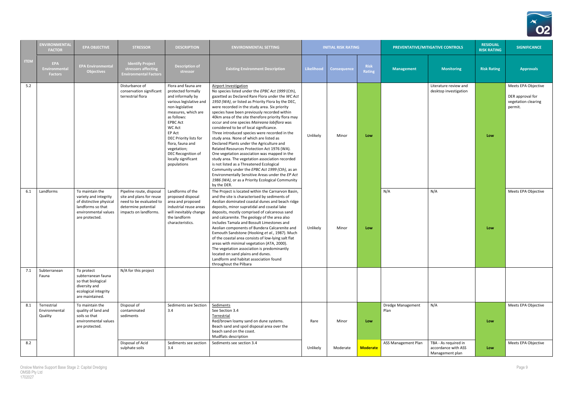

|             | <b>ENVIRONMENTAL</b><br><b>FACTOR</b>         | <b>EPA OBJECTIVE</b>                                                                                                               | <b>STRESSOR</b>                                                                                                                 | <b>DESCRIPTION</b>                                                                                                                                                                                                                                                                                                        | <b>ENVIRONMENTAL SETTING</b>                                                                                                                                                                                                                                                                                                                                                                                                                                                                                                                                                                                                                                                                                                                                                                                                                                                                                                                          |                   | <b>INITIAL RISK RATING</b> |                       |                                  | PREVENTATIVE/MITIGATIVE CONTROLS                               | <b>RESIDUAL</b><br><b>RISK RATING</b> | <b>SIGNIFICANCE</b>                                                       |
|-------------|-----------------------------------------------|------------------------------------------------------------------------------------------------------------------------------------|---------------------------------------------------------------------------------------------------------------------------------|---------------------------------------------------------------------------------------------------------------------------------------------------------------------------------------------------------------------------------------------------------------------------------------------------------------------------|-------------------------------------------------------------------------------------------------------------------------------------------------------------------------------------------------------------------------------------------------------------------------------------------------------------------------------------------------------------------------------------------------------------------------------------------------------------------------------------------------------------------------------------------------------------------------------------------------------------------------------------------------------------------------------------------------------------------------------------------------------------------------------------------------------------------------------------------------------------------------------------------------------------------------------------------------------|-------------------|----------------------------|-----------------------|----------------------------------|----------------------------------------------------------------|---------------------------------------|---------------------------------------------------------------------------|
| <b>ITEM</b> | <b>EPA</b><br>Environmental<br><b>Factors</b> | <b>EPA Environmental</b><br><b>Objectives</b>                                                                                      | <b>Identify Project</b><br>stressors affecting<br><b>Environmental Factors</b>                                                  | <b>Description of</b><br>stressor                                                                                                                                                                                                                                                                                         | <b>Existing Environment Description</b>                                                                                                                                                                                                                                                                                                                                                                                                                                                                                                                                                                                                                                                                                                                                                                                                                                                                                                               | <b>Likelihood</b> | <b>Consequence</b>         | <b>Risk</b><br>Rating | <b>Management</b>                | <b>Monitoring</b>                                              | <b>Risk Rating</b>                    | <b>Approvals</b>                                                          |
| 5.2         |                                               |                                                                                                                                    | Disturbance of<br>conservation significant<br>terrestrial flora                                                                 | Flora and fauna are<br>protected formally<br>and informally by<br>various legislative and<br>non-legislative<br>measures, which are<br>as follows:<br><b>EPBC Act</b><br><b>WC Act</b><br>EP Act<br>DEC Priority lists for<br>flora, fauna and<br>vegetation;<br>DEC Recognition of<br>locally significant<br>populations | Airport Investigation<br>No species listed under the EPBC Act 1999 (Cth),<br>gazetted as Declared Rare Flora under the WC Act<br>1950 (WA), or listed as Priority Flora by the DEC,<br>were recorded in the study area. Six priority<br>species have been previously recorded within<br>40km area of the site therefore priority flora may<br>occur and one species Maireana lobiflora was<br>considered to be of local significance.<br>Three introduced species were recorded in the<br>study area. None of which are listed as<br>Declared Plants under the Agriculture and<br>Related Resources Protection Act 1976 (WA).<br>One vegetation association was mapped in the<br>study area. The vegetation association recorded<br>is not listed as a Threatened Ecological<br>Community under the EPBC Act 1999 (Cth), as an<br>Environmentally Sensitive Areas under the EP Act<br>1986 (WA), or as a Priority Ecological Community<br>by the DER. | Unlikely          | Minor                      | Low                   |                                  | Literature review and<br>desktop investigation                 | Low                                   | Meets EPA Objective<br>DER approval for<br>vegetation clearing<br>permit. |
| 6.1         | Landforms                                     | To maintain the<br>variety and integrity<br>of distinctive physical<br>landforms so that<br>environmental values<br>are protected. | Pipeline route, disposal<br>site and plans for reuse<br>need to be evaluated to<br>determine potential<br>impacts on landforms. | Landforms of the<br>proposed disposal<br>area and proposed<br>industrial reuse areas<br>will inevitably change<br>the landform<br>characteristics.                                                                                                                                                                        | The Project is located within the Carnarvon Basin,<br>and the site is characterised by sediments of<br>Aeolian dominated coastal dunes and beach ridge<br>deposits, minor supratidal and coastal lake<br>deposits, mostly comprised of calcareous sand<br>and calcarenite. The geology of the area also<br>includes Tamala and Bossult Limestones and<br>Aeolian components of Bundera Calcarenite and<br>Exmouth Sandstone (Hooking et al., 1987). Much<br>of the coastal area consists of low-lying salt flat<br>areas with minimal vegetation (ATA, 2000).<br>The vegetation association is predominantly<br>located on sand plains and dunes.<br>Landform and habitat association found<br>throughout the Pilbara                                                                                                                                                                                                                                 | Unlikely          | Minor                      | Low                   | N/A                              | N/A                                                            | Low                                   | Meets EPA Objective                                                       |
| 7.1         | Subterranean<br>Fauna                         | To protect<br>subterranean fauna<br>so that biological<br>diversity and<br>ecological integrity<br>are maintained.                 | N/A for this project                                                                                                            |                                                                                                                                                                                                                                                                                                                           |                                                                                                                                                                                                                                                                                                                                                                                                                                                                                                                                                                                                                                                                                                                                                                                                                                                                                                                                                       |                   |                            |                       |                                  |                                                                |                                       |                                                                           |
| 8.1         | Terrestrial<br>Environmental<br>Quality       | To maintain the<br>quality of land and<br>soils so that<br>environmental values<br>are protected.                                  | Disposal of<br>contaminated<br>sediments                                                                                        | Sediments see Section<br>3.4                                                                                                                                                                                                                                                                                              | Sediments<br>See Section 3.4<br>Terrestrial<br>Red/brown loamy sand on dune systems.<br>Beach sand and spoil disposal area over the<br>beach sand on the coast.<br>Mudflats description                                                                                                                                                                                                                                                                                                                                                                                                                                                                                                                                                                                                                                                                                                                                                               | Rare              | Minor                      | Low                   | <b>Dredge Management</b><br>Plan | N/A                                                            | Low                                   | Meets EPA Objective                                                       |
| 8.2         |                                               |                                                                                                                                    | Disposal of Acid<br>sulphate soils                                                                                              | Sediments see section<br>3.4                                                                                                                                                                                                                                                                                              | Sediments see section 3.4                                                                                                                                                                                                                                                                                                                                                                                                                                                                                                                                                                                                                                                                                                                                                                                                                                                                                                                             | Unlikely          | Moderate                   | <b>Moderate</b>       | ASS Management Plan              | TBA - As required in<br>accordance with ASS<br>Management plan | Low                                   | Meets EPA Objective                                                       |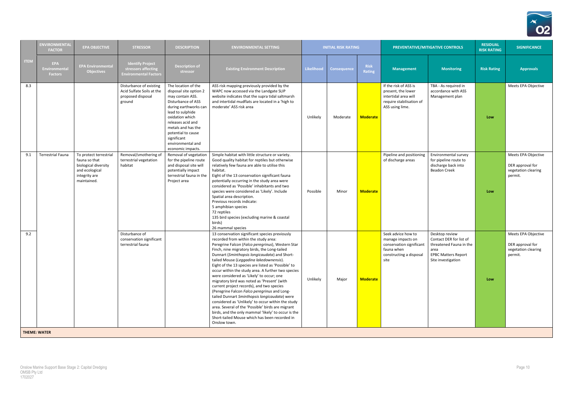

|             | <b>ENVIRONMENTAL</b><br><b>FACTOR</b>         | <b>EPA OBJECTIVE</b>                                                                                              | <b>STRESSOR</b>                                                                     | <b>DESCRIPTION</b>                                                                                                                                                                                                                                                                | <b>ENVIRONMENTAL SETTING</b>                                                                                                                                                                                                                                                                                                                                                                                                                                                                                                                                                                                                                                                                                                                                                                                                                                                      |                   | <b>INITIAL RISK RATING</b> |                       |                                                                                                                      | <b>PREVENTATIVE/MITIGATIVE CONTROLS</b>                                                                                          | <b>RESIDUAL</b><br><b>RISK RATING</b> | <b>SIGNIFICANCE</b>                                                       |
|-------------|-----------------------------------------------|-------------------------------------------------------------------------------------------------------------------|-------------------------------------------------------------------------------------|-----------------------------------------------------------------------------------------------------------------------------------------------------------------------------------------------------------------------------------------------------------------------------------|-----------------------------------------------------------------------------------------------------------------------------------------------------------------------------------------------------------------------------------------------------------------------------------------------------------------------------------------------------------------------------------------------------------------------------------------------------------------------------------------------------------------------------------------------------------------------------------------------------------------------------------------------------------------------------------------------------------------------------------------------------------------------------------------------------------------------------------------------------------------------------------|-------------------|----------------------------|-----------------------|----------------------------------------------------------------------------------------------------------------------|----------------------------------------------------------------------------------------------------------------------------------|---------------------------------------|---------------------------------------------------------------------------|
| <b>ITEM</b> | <b>EPA</b><br>Environmental<br><b>Factors</b> | <b>EPA Environmental</b><br><b>Objectives</b>                                                                     | <b>Identify Project</b><br>stressors affecting<br><b>Environmental Factors</b>      | <b>Description of</b><br>stressor                                                                                                                                                                                                                                                 | <b>Existing Environment Description</b>                                                                                                                                                                                                                                                                                                                                                                                                                                                                                                                                                                                                                                                                                                                                                                                                                                           | <b>Likelihood</b> | Consequence                | <b>Risk</b><br>Rating | <b>Management</b>                                                                                                    | <b>Monitoring</b>                                                                                                                | <b>Risk Rating</b>                    | <b>Approvals</b>                                                          |
| 8.3         |                                               |                                                                                                                   | Disturbance of existing<br>Acid Sulfate Soils at the<br>proposed disposal<br>ground | The location of the<br>disposal site option 2<br>may contain ASS.<br>Disturbance of ASS<br>during earthworks can<br>lead to sulphide<br>oxidation which<br>releases acid and<br>metals and has the<br>potential to cause<br>significant<br>environmental and<br>economic impacts. | ASS risk mapping previously provided by the<br>WAPC now accessed via the Landgate SLIP<br>website indicates that the supra tidal saltmarsh<br>and intertidal mudflats are located in a 'high to<br>moderate' ASS risk area                                                                                                                                                                                                                                                                                                                                                                                                                                                                                                                                                                                                                                                        | Unlikely          | Moderate                   | <b>Moderate</b>       | If the risk of ASS is<br>present, the lower<br>intertidal area will<br>require stabilisation of<br>ASS using lime.   | TBA - As required in<br>accordance with ASS<br>Management plan                                                                   | Low                                   | Meets EPA Objective                                                       |
| 9.1         | <b>Terrestrial Fauna</b>                      | To protect terrestrial<br>fauna so that<br>biological diversity<br>and ecological<br>integrity are<br>maintained. | Removal/smothering of<br>terrestrial vegetation<br>habitat                          | Removal of vegetation<br>for the pipeline route<br>and disposal site will<br>potentially impact<br>terrestrial fauna in the<br>Project area                                                                                                                                       | Simple habitat with little structure or variety.<br>Good quality habitat for reptiles but otherwise<br>relatively few fauna are able to utilise this<br>habitat.<br>Eight of the 13 conservation significant fauna<br>potentially occurring in the study area were<br>considered as 'Possible' inhabitants and two<br>species were considered as 'Likely'. Include<br>Spatial area description.<br>Previous records indicate:<br>5 amphibian species<br>72 reptiles<br>135 bird species (excluding marine & coastal<br>birds)<br>26 mammal species                                                                                                                                                                                                                                                                                                                                | Possible          | Minor                      | <b>Moderate</b>       | Pipeline and positioning<br>of discharge areas                                                                       | Environmental survey<br>for pipeline route to<br>discharge back into<br><b>Beadon Creek</b>                                      | Low                                   | Meets EPA Objective<br>DER approval for<br>vegetation clearing<br>permit. |
| 9.2         |                                               |                                                                                                                   | Disturbance of<br>conservation significant<br>terrestrial fauna                     |                                                                                                                                                                                                                                                                                   | 13 conservation significant species previously<br>recorded from within the study area:<br>Peregrine Falcon (Falco peregrinus), Western Star<br>Finch, nine migratory birds, the Long-tailed<br>Dunnart (Sminthopsis longicaudata) and Short-<br>tailed Mouse (Leggadina lakedownensis).<br>Eight of the 13 species are listed as 'Possible' to<br>occur within the study area. A further two species<br>were considered as 'Likely' to occur; one<br>migratory bird was noted as 'Present' (with<br>current project records), and two species<br>(Peregrine Falcon Falco peregrinus and Long-<br>tailed Dunnart Sminthopsis longicaudata) were<br>considered as 'Unlikely' to occur within the study<br>area. Several of the 'Possible' birds are migrant<br>birds, and the only mammal 'likely' to occur is the<br>Short-tailed Mouse which has been recorded in<br>Onslow town. | Unlikely          | Major                      | <b>Moderate</b>       | Seek advice how to<br>manage impacts on<br>conservation significant<br>fauna when<br>constructing a disposal<br>site | Desktop review<br>Contact DER for list of<br>threatened Fauna in the<br>area<br><b>EPBC Matters Report</b><br>Site investigation | Low                                   | Meets EPA Objective<br>DER approval for<br>vegetation clearing<br>permit. |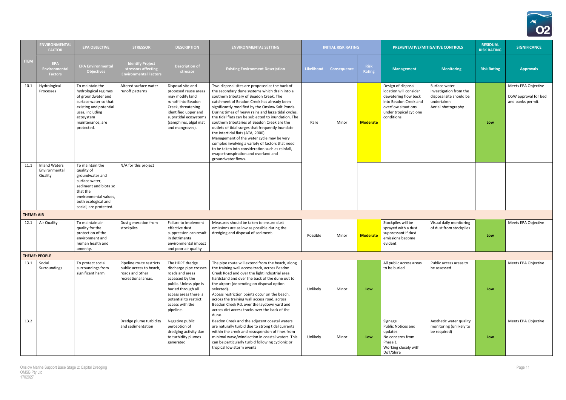

|                   | <b>ENVIRONMENTAL</b><br><b>FACTOR</b>            | <b>EPA OBJECTIVE</b>                                                                                                                                                               | <b>STRESSOR</b>                                                                               | <b>DESCRIPTION</b>                                                                                                                                                                                                | <b>ENVIRONMENTAL SETTING</b>                                                                                                                                                                                                                                                                                                                                                                                                                                                                                                                                                                                                                                                                                           |                   | <b>INITIAL RISK RATING</b> |                              |                                                                                                                                                               | PREVENTATIVE/MITIGATIVE CONTROLS                                                                       | <b>RESIDUAL</b><br><b>RISK RATING</b> | <b>SIGNIFICANCE</b>                                              |
|-------------------|--------------------------------------------------|------------------------------------------------------------------------------------------------------------------------------------------------------------------------------------|-----------------------------------------------------------------------------------------------|-------------------------------------------------------------------------------------------------------------------------------------------------------------------------------------------------------------------|------------------------------------------------------------------------------------------------------------------------------------------------------------------------------------------------------------------------------------------------------------------------------------------------------------------------------------------------------------------------------------------------------------------------------------------------------------------------------------------------------------------------------------------------------------------------------------------------------------------------------------------------------------------------------------------------------------------------|-------------------|----------------------------|------------------------------|---------------------------------------------------------------------------------------------------------------------------------------------------------------|--------------------------------------------------------------------------------------------------------|---------------------------------------|------------------------------------------------------------------|
| <b>ITEM</b>       | <b>EPA</b><br>Environmental<br><b>Factors</b>    | <b>EPA Environmental</b><br><b>Objectives</b>                                                                                                                                      | <b>Identify Project</b><br>stressors affecting<br><b>Environmental Factors</b>                | <b>Description of</b><br>stressor                                                                                                                                                                                 | <b>Existing Environment Description</b>                                                                                                                                                                                                                                                                                                                                                                                                                                                                                                                                                                                                                                                                                | <b>Likelihood</b> | <b>Consequence</b>         | <b>Risk</b><br><b>Rating</b> | <b>Management</b>                                                                                                                                             | <b>Monitoring</b>                                                                                      | <b>Risk Rating</b>                    | <b>Approvals</b>                                                 |
| 10.1              | Hydrological<br>Processes                        | To maintain the<br>hydrological regimes<br>of groundwater and<br>surface water so that<br>existing and potential<br>uses, including<br>ecosystem<br>maintenance, are<br>protected. | Altered surface water<br>runoff patterns                                                      | Disposal site and<br>proposed reuse areas<br>may modify land<br>runoff into Beadon<br>Creek, threatening<br>identified upper and<br>supratidal ecosystems<br>(samphires, algal mat<br>and mangroves).             | Two disposal sites are proposed at the back of<br>the secondary dune systems which drain into a<br>southern tributary of Beadon Creek. The<br>catchment of Beadon Creek has already been<br>significantly modified by the Onslow Salt Ponds.<br>During times of heavy rains and large tidal cycles,<br>the tidal flats can be subjected to inundation. The<br>southern tributaries of Beadon Creek are the<br>outlets of tidal surges that frequently inundate<br>the intertidal flats (ATA, 2000).<br>Management of the water cycle may be very<br>complex involving a variety of factors that need<br>to be taken into consideration such as rainfall,<br>evapo-transpiration and overland and<br>groundwater flows. | Rare              | Minor                      | <b>Moderate</b>              | Design of disposal<br>location will consider<br>dewatering flow back<br>into Beadon Creek and<br>overflow situations<br>under tropical cyclone<br>conditions. | Surface water<br>investigation from the<br>disposal site should be<br>undertaken<br>Aerial photography | Low                                   | Meets EPA Objective<br>DoW approval for bed<br>and banks permit. |
| 11.1              | <b>Inland Waters</b><br>Environmental<br>Quality | To maintain the<br>quality of<br>groundwater and<br>surface water,<br>sediment and biota so<br>that the<br>environmental values,<br>both ecological and<br>social, are protected.  | N/A for this project                                                                          |                                                                                                                                                                                                                   |                                                                                                                                                                                                                                                                                                                                                                                                                                                                                                                                                                                                                                                                                                                        |                   |                            |                              |                                                                                                                                                               |                                                                                                        |                                       |                                                                  |
| <b>THEME: AIR</b> |                                                  |                                                                                                                                                                                    |                                                                                               |                                                                                                                                                                                                                   |                                                                                                                                                                                                                                                                                                                                                                                                                                                                                                                                                                                                                                                                                                                        |                   |                            |                              |                                                                                                                                                               |                                                                                                        |                                       |                                                                  |
| 12.1              | Air Quality                                      | To maintain air<br>quality for the<br>protection of the<br>environment and<br>human health and<br>amenity.                                                                         | Dust generation from<br>stockpiles                                                            | Failure to implement<br>effective dust<br>suppression can result<br>in detrimental<br>environmental impact<br>and poor air quality                                                                                | Measures should be taken to ensure dust<br>emissions are as low as possible during the<br>dredging and disposal of sediment.                                                                                                                                                                                                                                                                                                                                                                                                                                                                                                                                                                                           | Possible          | Minor                      | <b>Moderate</b>              | Stockpiles will be<br>sprayed with a dust<br>suppressant if dust<br>emissions become<br>evident                                                               | Visual daily monitoring<br>of dust from stockpiles                                                     | Low                                   | Meets EPA Objective                                              |
|                   | <b>THEME: PEOPLE</b>                             |                                                                                                                                                                                    |                                                                                               |                                                                                                                                                                                                                   |                                                                                                                                                                                                                                                                                                                                                                                                                                                                                                                                                                                                                                                                                                                        |                   |                            |                              |                                                                                                                                                               |                                                                                                        |                                       |                                                                  |
| 13.1              | Social<br>Surroundings                           | To protect social<br>surroundings from<br>significant harm.                                                                                                                        | Pipeline route restricts<br>public access to beach,<br>roads and other<br>recreational areas. | The HDPE dredge<br>discharge pipe crosses<br>roads and areas<br>accessed by the<br>public. Unless pipe is<br>buried through all<br>access areas there is<br>potential to restrict<br>access with the<br>pipeline. | The pipe route will extend from the beach, along<br>the training wall access track, across Beadon<br>Creek Road and over the light industrial area<br>hardstand and over the back of the dune out to<br>the airport (depending on disposal option<br>selected).<br>Access restriction points occur on the beach,<br>across the training wall access road, across<br>Beadon Creek Rd, over the laydown yard and<br>across dirt access tracks over the back of the<br>dune.                                                                                                                                                                                                                                              | Unlikely          | Minor                      | Low                          | All public access areas<br>to be buried                                                                                                                       | Public access areas to<br>be assessed                                                                  | Low                                   | Meets EPA Objective                                              |
| 13.2              |                                                  |                                                                                                                                                                                    | Dredge plume turbidity<br>and sedimentation                                                   | Negative public<br>perception of<br>dredging activity due<br>to turbidity plumes<br>generated                                                                                                                     | Beadon Creek and the adjacent coastal waters<br>are naturally turbid due to strong tidal currents<br>within the creek and resuspension of fines from<br>minimal wave/wind action in coastal waters. This<br>can be particularly turbid following cyclonic or<br>tropical low storm events                                                                                                                                                                                                                                                                                                                                                                                                                              | Unlikely          | Minor                      | Low                          | Signage<br>Public Notices and<br>updates<br>No concerns from<br>Phase 1<br>Working closely with<br>DoT/Shire                                                  | Aesthetic water quality<br>monitoring (unlikely to<br>be required)                                     | Low                                   | Meets EPA Objective                                              |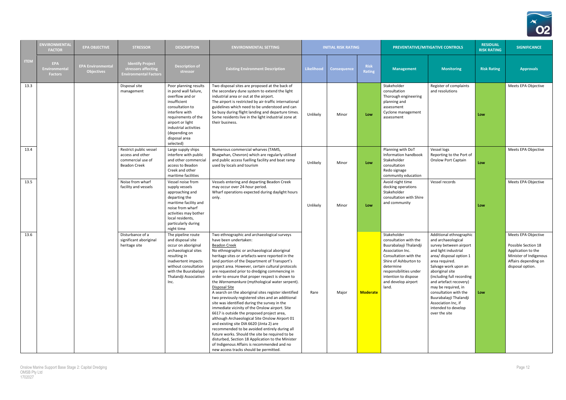

|             | <b>ENVIRONMENTA</b> I<br><b>FACTOR</b>              | <b>EPA OBJECTIVE</b>                          | <b>STRESSOR</b>                                                                        | <b>DESCRIPTION</b>                                                                                                                                                                                                                        | <b>ENVIRONMENTAL SETTING</b>                                                                                                                                                                                                                                                                                                                                                                                                                                                                                                                                                                                                                                                                                                                                                                                                                                                                                                                                                                                                                                                              |                   | <b>INITIAL RISK RATING</b> |                       |                                                                                                                                                                                                                                     | PREVENTATIVE/MITIGATIVE CONTROLS                                                                                                                                                                                                                                                                                                                                                        | <b>RESIDUAL</b><br><b>RISK RATING</b> | <b>SIGNIFICANCE</b>                                                                                                                    |
|-------------|-----------------------------------------------------|-----------------------------------------------|----------------------------------------------------------------------------------------|-------------------------------------------------------------------------------------------------------------------------------------------------------------------------------------------------------------------------------------------|-------------------------------------------------------------------------------------------------------------------------------------------------------------------------------------------------------------------------------------------------------------------------------------------------------------------------------------------------------------------------------------------------------------------------------------------------------------------------------------------------------------------------------------------------------------------------------------------------------------------------------------------------------------------------------------------------------------------------------------------------------------------------------------------------------------------------------------------------------------------------------------------------------------------------------------------------------------------------------------------------------------------------------------------------------------------------------------------|-------------------|----------------------------|-----------------------|-------------------------------------------------------------------------------------------------------------------------------------------------------------------------------------------------------------------------------------|-----------------------------------------------------------------------------------------------------------------------------------------------------------------------------------------------------------------------------------------------------------------------------------------------------------------------------------------------------------------------------------------|---------------------------------------|----------------------------------------------------------------------------------------------------------------------------------------|
| <b>ITEM</b> | <b>EPA</b><br><b>Environmenta</b><br><b>Factors</b> | <b>EPA Environmental</b><br><b>Objectives</b> | <b>Identify Project</b><br>stressors affecting<br><b>Environmental Factors</b>         | <b>Description of</b><br>stressor                                                                                                                                                                                                         | <b>Existing Environment Description</b>                                                                                                                                                                                                                                                                                                                                                                                                                                                                                                                                                                                                                                                                                                                                                                                                                                                                                                                                                                                                                                                   | <b>Likelihood</b> | <b>Consequence</b>         | <b>Risk</b><br>Rating | <b>Management</b>                                                                                                                                                                                                                   | <b>Monitoring</b>                                                                                                                                                                                                                                                                                                                                                                       | <b>Risk Rating</b>                    | <b>Approvals</b>                                                                                                                       |
| 13.3        |                                                     |                                               | Disposal site<br>management                                                            | Poor planning results<br>in pond wall failure,<br>overflow and or<br>insufficient<br>consultation to<br>interfere with<br>requirements of the<br>airport or light<br>industrial activities<br>(depending on<br>disposal area<br>selected) | Two disposal sites are proposed at the back of<br>the secondary dune system to extend the light<br>industrial area or out at the airport.<br>The airport is restricted by air-traffic international<br>guidelines which need to be understood and can<br>be busy during flight landing and departure times.<br>Some residents live in the light industrial zone at<br>their business.                                                                                                                                                                                                                                                                                                                                                                                                                                                                                                                                                                                                                                                                                                     | Unlikely          | Minor                      | Low                   | Stakeholder<br>consultation<br>Thorough engineering<br>planning and<br>assessment<br>Cyclone management<br>assessment                                                                                                               | Register of complaints<br>and resolutions                                                                                                                                                                                                                                                                                                                                               | Low                                   | Meets EPA Objective                                                                                                                    |
| 13.4        |                                                     |                                               | Restrict public vessel<br>access and other<br>commercial use of<br><b>Beadon Creek</b> | Large supply ships<br>interfere with public<br>and other commercia<br>access to Beadon<br>Creek and other<br>maritime facilities                                                                                                          | Numerous commercial wharves (TAMS,<br>Bhagwhan, Chevron) which are regularly utilised<br>and public access fuelling facility and boat ramp<br>used by locals and tourism                                                                                                                                                                                                                                                                                                                                                                                                                                                                                                                                                                                                                                                                                                                                                                                                                                                                                                                  | Unlikely          | Minor                      | Low                   | Planning with DoT<br>Information handbook<br>Stakeholder<br>consultation<br>Redo signage<br>community education                                                                                                                     | Vessel logs<br>Reporting to the Port of<br><b>Onslow Port Captain</b>                                                                                                                                                                                                                                                                                                                   | Low                                   | Meets EPA Objective                                                                                                                    |
| 13.5        |                                                     |                                               | Noise from wharf<br>facility and vessels                                               | Vessel noise from<br>supply vessels<br>approaching and<br>departing the<br>maritime facility and<br>noise from wharf<br>activities may bother<br>local residents,<br>particularly during<br>night time                                    | Vessels entering and departing Beadon Creek<br>may occur over 24-hour period.<br>Wharf operations expected during daylight hours<br>only.                                                                                                                                                                                                                                                                                                                                                                                                                                                                                                                                                                                                                                                                                                                                                                                                                                                                                                                                                 | Unlikely          | Minor                      | Low                   | Avoid night time<br>docking operations<br>Stakeholder<br>consultation with Shire<br>and community                                                                                                                                   | Vessel records                                                                                                                                                                                                                                                                                                                                                                          | Low                                   | Meets EPA Objective                                                                                                                    |
| 13.6        |                                                     |                                               | Disturbance of a<br>significant aboriginal<br>heritage site                            | The pipeline route<br>and disposal site<br>occur on aboriginal<br>archaeological sites<br>resulting in<br>inadvertent impacts<br>without consultation<br>with the Buurabalayji<br>Thalandji Association<br>Inc.                           | Two ethnographic and archaeological surveys<br>have been undertaken:<br><b>Beadon Creek</b><br>No ethnographic or archaeological aboriginal<br>heritage sites or artefacts were reported in the<br>land portion of the Department of Transport's<br>project area. However, certain cultural protocols<br>are requested prior to dredging commencing in<br>order to ensure that proper respect is shown to<br>the Warnamankura (mythological water serpent).<br>Disposal Site<br>A search on the aboriginal sites register identified<br>two previously registered sites and an additional<br>site was identified during the survey in the<br>immediate vicinity of the Onslow airport. Site<br>6617 is outside the proposed project area,<br>although Archaeological Site Onslow Airport 01<br>and existing site DIA 6620 (Jinta 2) are<br>recommended to be avoided entirely during all<br>future works. Should the site be required to be<br>disturbed, Section 18 Application to the Minister<br>of Indigenous Affairs is recommended and no<br>new access tracks should be permitted. | Rare              | Major                      | <b>Moderate</b>       | Stakeholder<br>consultation with the<br>Buurabalayji Thalandji<br>Association Inc.<br>Consultation with the<br>Shire of Ashburton to<br>determine<br>responsibilities under<br>intention to dispose<br>and develop airport<br>land. | Additional ethnographic<br>and archaeological<br>survey between airport<br>and light industrial<br>area/ disposal option 1<br>area required.<br>Salvage work upon an<br>aboriginal site<br>(including full recording<br>and artefact recovery)<br>may be required, in<br>consultation with the<br>Buurabalayji Thalandji<br>Association Inc, if<br>intended to develop<br>over the site | Low                                   | Meets EPA Objective<br>Possible Section 18<br>Application to the<br>Minister of Indigenous<br>Affairs depending on<br>disposal option. |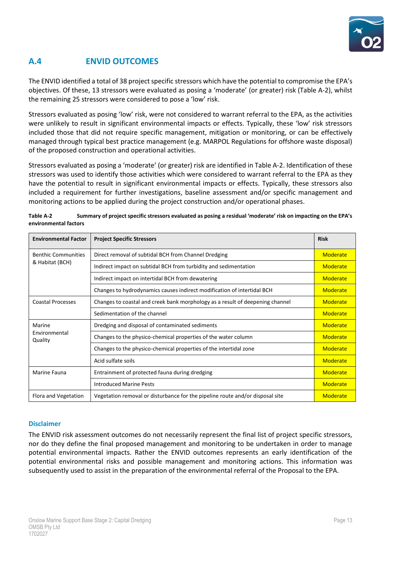

# **A.4 ENVID OUTCOMES**

The ENVID identified a total of 38 project specific stressors which have the potential to compromise the EPA's objectives. Of these, 13 stressors were evaluated as posing a 'moderate' (or greater) risk (Table A-2), whilst the remaining 25 stressors were considered to pose a 'low' risk.

Stressors evaluated as posing 'low' risk, were not considered to warrant referral to the EPA, as the activities were unlikely to result in significant environmental impacts or effects. Typically, these 'low' risk stressors included those that did not require specific management, mitigation or monitoring, or can be effectively managed through typical best practice management (e.g. MARPOL Regulations for offshore waste disposal) of the proposed construction and operational activities.

Stressors evaluated as posing a 'moderate' (or greater) risk are identified in Table A-2. Identification of these stressors was used to identify those activities which were considered to warrant referral to the EPA as they have the potential to result in significant environmental impacts or effects. Typically, these stressors also included a requirement for further investigations, baseline assessment and/or specific management and monitoring actions to be applied during the project construction and/or operational phases.

| Table A-2             | Summary of project specific stressors evaluated as posing a residual 'moderate' risk on impacting on the EPA's |
|-----------------------|----------------------------------------------------------------------------------------------------------------|
| environmental factors |                                                                                                                |

| <b>Environmental Factor</b>                   | <b>Project Specific Stressors</b>                                             | <b>Risk</b> |
|-----------------------------------------------|-------------------------------------------------------------------------------|-------------|
| <b>Benthic Communities</b><br>& Habitat (BCH) | Direct removal of subtidal BCH from Channel Dredging                          | Moderate    |
|                                               | Indirect impact on subtidal BCH from turbidity and sedimentation              | Moderate    |
|                                               | Indirect impact on intertidal BCH from dewatering                             | Moderate    |
|                                               | Changes to hydrodynamics causes indirect modification of intertidal BCH       | Moderate    |
| <b>Coastal Processes</b>                      | Changes to coastal and creek bank morphology as a result of deepening channel | Moderate    |
|                                               | Sedimentation of the channel                                                  | Moderate    |
| Marine<br>Environmental<br>Quality            | Dredging and disposal of contaminated sediments                               | Moderate    |
|                                               | Changes to the physico-chemical properties of the water column                | Moderate    |
|                                               | Changes to the physico-chemical properties of the intertidal zone             | Moderate    |
|                                               | Acid sulfate soils                                                            | Moderate    |
| Marine Fauna                                  | Entrainment of protected fauna during dredging                                | Moderate    |
|                                               | <b>Introduced Marine Pests</b>                                                | Moderate    |
| Flora and Vegetation                          | Vegetation removal or disturbance for the pipeline route and/or disposal site | Moderate    |

#### **Disclaimer**

The ENVID risk assessment outcomes do not necessarily represent the final list of project specific stressors, nor do they define the final proposed management and monitoring to be undertaken in order to manage potential environmental impacts. Rather the ENVID outcomes represents an early identification of the potential environmental risks and possible management and monitoring actions. This information was subsequently used to assist in the preparation of the environmental referral of the Proposal to the EPA.